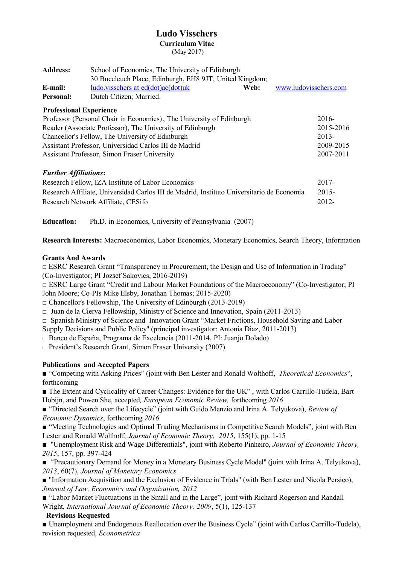# **Ludo Visschers Curriculum Vitae**

(May 2017)

| <b>Address:</b>                                                                           | School of Economics, The University of Edinburgh<br>30 Buccleuch Place, Edinburgh, EH8 9JT, United Kingdom; |                       |  |
|-------------------------------------------------------------------------------------------|-------------------------------------------------------------------------------------------------------------|-----------------------|--|
|                                                                                           |                                                                                                             |                       |  |
| E-mail:                                                                                   | ludo.visschers at ed(dot)ac(dot)uk<br>Web:                                                                  | www.ludovisschers.com |  |
| Personal:                                                                                 | Dutch Citizen; Married.                                                                                     |                       |  |
|                                                                                           | <b>Professional Experience</b>                                                                              |                       |  |
| Professor (Personal Chair in Economics), The University of Edinburgh                      |                                                                                                             | $2016-$               |  |
| Reader (Associate Professor), The University of Edinburgh                                 |                                                                                                             | 2015-2016             |  |
| Chancellor's Fellow, The University of Edinburgh                                          |                                                                                                             | $2013 -$              |  |
| Assistant Professor, Universidad Carlos III de Madrid                                     |                                                                                                             | 2009-2015             |  |
|                                                                                           | <b>Assistant Professor, Simon Fraser University</b>                                                         | 2007-2011             |  |
| <b>Further Affiliations:</b>                                                              |                                                                                                             |                       |  |
| Research Fellow, IZA Institute of Labor Economics                                         |                                                                                                             | $2017 -$              |  |
| Research Affiliate, Universidad Carlos III de Madrid, Instituto Universitario de Economia |                                                                                                             | $2015 -$              |  |
|                                                                                           | Research Network Affiliate, CESifo                                                                          | 2012-                 |  |
|                                                                                           |                                                                                                             |                       |  |

**Education:** Ph.D. in Economics, University of Pennsylvania (2007)

**Research Interests:** Macroeconomics, Labor Economics, Monetary Economics, Search Theory, Information

# **Grants And Awards**

 $\Box$  ESRC Research Grant "Transparency in Procurement, the Design and Use of Information in Trading" (Co-Investigator; PI Jozsef Sakovics, 2016-2019)

**□** ESRC Large Grant "Credit and Labour Market Foundations of the Macroeconomy" (Co-Investigator; PI John Moore; Co-PIs Mike Elsby, Jonathan Thomas; 2015-2020)

**□** Chancellor's Fellowship, The University of Edinburgh (2013-2019)

**□** Juan de la Cierva Fellowship, Ministry of Science and Innovation, Spain (2011-2013)

□ Spanish Ministry of Science and Innovation Grant "Market Frictions, Household Saving and Labor

Supply Decisions and Public Policy'' (principal investigator: Antonia Diaz, 2011-2013)

**□** Banco de España, Programa de Excelencia (2011-2014, PI: Juanjo Dolado)

**□** President's Research Grant, Simon Fraser University (2007)

# **Publications and Accepted Papers**

■ "Competing with Asking Prices" (joint with Ben Lester and Ronald Wolthoff, *Theoretical Economics*", forthcoming

**■** The Extent and Cyclicality of Career Changes: Evidence for the UK" , with Carlos Carrillo-Tudela, Bart Hobijn, and Powen She, accepted*, European Economic Review,* forthcoming *2016*

■ "Directed Search over the Lifecycle" (joint with Guido Menzio and Irina A. Telyukova), *Review of Economic Dynamics*, forthcoming *2016*

■ "Meeting Technologies and Optimal Trading Mechanisms in Competitive Search Models", joint with Ben Lester and Ronald Wolthoff, *Journal of Economic Theory, 2015*, 155(1), pp. 1-15

■ "Unemployment Risk and Wage Differentials", joint with Roberto Pinheiro, *Journal of Economic Theory*, *2015*, 157, pp. 397-424

■ "Precautionary Demand for Money in a Monetary Business Cycle Model" (joint with Irina A. Telyukova), *2013*, 60(7), *Journal of Monetary Economics* 

■ "Information Acquisition and the Exclusion of Evidence in Trials" (with Ben Lester and Nicola Persico), *Journal of Law, Economics and Organization, 2012*

■ "Labor Market Fluctuations in the Small and in the Large", joint with Richard Rogerson and Randall Wright*, International Journal of Economic Theory, 2009*, 5(1), 125-137

# **Revisions Requested**

**■** Unemployment and Endogenous Reallocation over the Business Cycle" (joint with Carlos Carrillo-Tudela), revision requested, *Econometrica*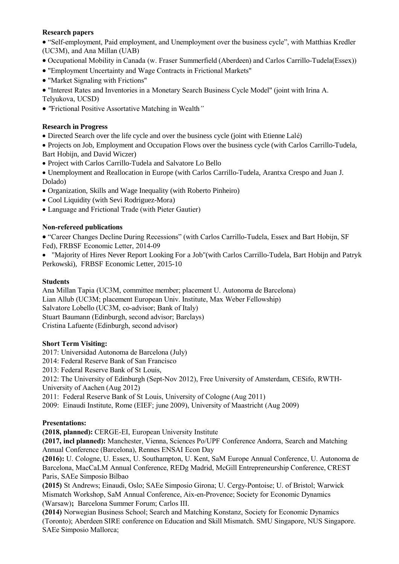# **Research papers**

 "Self-employment, Paid employment, and Unemployment over the business cycle", with Matthias Kredler (UC3M), and Ana Millan (UAB)

- Occupational Mobility in Canada (w. Fraser Summerfield (Aberdeen) and Carlos Carrillo-Tudela(Essex))
- "Employment Uncertainty and Wage Contracts in Frictional Markets"
- "Market Signaling with Frictions"

 "Interest Rates and Inventories in a Monetary Search Business Cycle Model" (joint with Irina A. Telyukova, UCSD)

*"*Frictional Positive Assortative Matching in Wealth*"*

# **Research in Progress**

Directed Search over the life cycle and over the business cycle (joint with Etienne Lalé)

 Projects on Job, Employment and Occupation Flows over the business cycle (with Carlos Carrillo-Tudela, Bart Hobijn, and David Wiczer)

Project with Carlos Carrillo-Tudela and Salvatore Lo Bello

 Unemployment and Reallocation in Europe (with Carlos Carrillo-Tudela, Arantxa Crespo and Juan J. Dolado)

- Organization, Skills and Wage Inequality (with Roberto Pinheiro)
- Cool Liquidity (with Sevi Rodriguez-Mora)
- Language and Frictional Trade (with Pieter Gautier)

## **Non-refereed publications**

 "Career Changes Decline During Recessions" (with Carlos Carrillo-Tudela, Essex and Bart Hobijn, SF Fed), FRBSF Economic Letter, 2014-09

 "Majority of Hires Never Report Looking For a Job"(with Carlos Carrillo-Tudela, Bart Hobijn and Patryk Perkowski), FRBSF Economic Letter, 2015-10

### **Students**

Ana Millan Tapia (UC3M, committee member; placement U. Autonoma de Barcelona) Lian Allub (UC3M; placement European Univ. Institute, Max Weber Fellowship) Salvatore Lobello (UC3M, co-advisor; Bank of Italy) Stuart Baumann (Edinburgh, second advisor; Barclays) Cristina Lafuente (Edinburgh, second advisor)

#### **Short Term Visiting:**

2017: Universidad Autonoma de Barcelona (July)

2014: Federal Reserve Bank of San Francisco

2013: Federal Reserve Bank of St Louis,

2012: The University of Edinburgh (Sept-Nov 2012), Free University of Amsterdam, CESifo, RWTH-University of Aachen (Aug 2012)

2011: Federal Reserve Bank of St Louis, University of Cologne (Aug 2011)

2009: Einaudi Institute, Rome (EIEF; june 2009), University of Maastricht (Aug 2009)

# **Presentations:**

**(2018, planned):** CERGE-EI, European University Institute

**(2017, incl planned):** Manchester, Vienna, Sciences Po/UPF Conference Andorra, Search and Matching Annual Conference (Barcelona), Rennes ENSAI Econ Day

**(2016):** U. Cologne, U. Essex, U. Southampton, U. Kent, SaM Europe Annual Conference, U. Autonoma de Barcelona, MacCaLM Annual Conference, REDg Madrid, McGill Entrepreneurship Conference, CREST Paris, SAEe Simposio Bilbao

**(2015)** St Andrews; Einaudi, Oslo; SAEe Simposio Girona; U. Cergy-Pontoise; U. of Bristol; Warwick Mismatch Workshop, SaM Annual Conference, Aix-en-Provence; Society for Economic Dynamics (Warsaw)**;** Barcelona Summer Forum; Carlos III.

**(2014)** Norwegian Business School; Search and Matching Konstanz, Society for Economic Dynamics (Toronto); Aberdeen SIRE conference on Education and Skill Mismatch. SMU Singapore, NUS Singapore. SAEe Simposio Mallorca;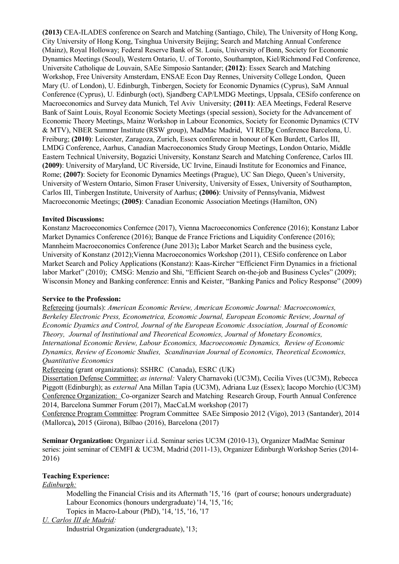**(2013)** CEA-ILADES conference on Search and Matching (Santiago, Chile), The University of Hong Kong, City University of Hong Kong, Tsinghua University Beijing; Search and Matching Annual Conference (Mainz), Royal Holloway; Federal Reserve Bank of St. Louis, University of Bonn, Society for Economic Dynamics Meetings (Seoul), Western Ontario, U. of Toronto, Southampton, Kiel/Richmond Fed Conference, Universite Catholique de Louvain, SAEe Simposio Santander; **(2012)**: Essex Search and Matching Workshop, Free University Amsterdam, ENSAE Econ Day Rennes, University College London, Queen Mary (U. of London), U. Edinburgh, Tinbergen, Society for Economic Dynamics (Cyprus), SaM Annual Conference (Cyprus), U. Edinburgh (oct), Sjandberg CAP/LMDG Meetings, Uppsala, CESifo conference on Macroeconomics and Survey data Munich, Tel Aviv University; **(2011)**: AEA Meetings, Federal Reserve Bank of Saint Louis, Royal Economic Society Meetings (special session), Society for the Advancement of Economic Theory Meetings, Mainz Workshop in Labour Economics, Society for Economic Dynamics (CTV & MTV), NBER Summer Institute (RSW group), MadMac Madrid, VI REDg Conference Barcelona, U. Freiburg; **(2010)**: Leicester, Zaragoza, Zurich, Essex conference in honour of Ken Burdett, Carlos III, LMDG Conference, Aarhus, Canadian Macroeconomics Study Group Meetings, London Ontario, Middle Eastern Technical University, Bogazici University, Konstanz Search and Matching Conference, Carlos III. **(2009)**: University of Maryland, UC Riverside, UC Irvine, Einaudi Institute for Economics and Finance, Rome; **(2007)**: Society for Economic Dynamics Meetings (Prague), UC San Diego, Queen's University, University of Western Ontario, Simon Fraser University, University of Essex, University of Southampton, Carlos III, Tinbergen Institute, University of Aarhus; **(2006)**: Univsity of Pennsylvania, Midwest Macroeconomic Meetings; **(2005)**: Canadian Economic Association Meetings (Hamilton, ON)

## **Invited Discussions:**

Konstanz Macroeconomics Confernce (2017), Vienna Macroeconomics Conference (2016); Konstanz Labor Market Dynamics Conference (2016); Banque de France Frictions and Liquidity Conference (2016); Mannheim Macroeconomics Conference (June 2013)**;** Labor Market Search and the business cycle, University of Konstanz (2012);Vienna Macroeconomics Workshop (2011), CESifo conference on Labor Market Search and Policy Applications (Konstanz): Kaas-Kircher "Efficienct Firm Dynamics in a frictional labor Market" (2010); CMSG: Menzio and Shi, "Efficient Search on-the-job and Business Cycles" (2009); Wisconsin Money and Banking conference: Ennis and Keister, "Banking Panics and Policy Response" (2009)

#### **Service to the Profession:**

Refereeing (journals): *American Economic Review, American Economic Journal: Macroeconomics, Berkeley Electronic Press, Econometrica, Economic Journal, European Economic Review, Journal of Economic Dyamics and Control, Journal of the European Economic Association, Journal of Economic Theory, Journal of Institutional and Theoretical Economics, Journal of Monetary Economics, International Economic Review, Labour Economics, Macroeconomic Dynamics, Review of Economic Dynamics, Review of Economic Studies, Scandinavian Journal of Economics, Theoretical Economics, Quantitative Economics*

Refereeing (grant organizations): SSHRC (Canada), ESRC (UK)

Dissertation Defense Committee: *as internal:* Valery Charnavoki (UC3M), Cecilia Vives (UC3M), Rebecca Piggott (Edinburgh); as *external* Ana Millan Tapia (UC3M), Adriana Luz (Essex); Iacopo Morchio (UC3M) Conference Organization: Co-organizer Search and Matching Research Group, Fourth Annual Conference 2014, Barcelona Summer Forum (2017), MacCaLM workshop (2017)

Conference Program Committee: Program Committee SAEe Simposio 2012 (Vigo), 2013 (Santander), 2014 (Mallorca)**,** 2015 (Girona), Bilbao (2016), Barcelona (2017)

**Seminar Organization:** Organizer i.i.d. Seminar series UC3M (2010-13), Organizer MadMac Seminar series: joint seminar of CEMFI & UC3M, Madrid (2011-13), Organizer Edinburgh Workshop Series (2014- 2016)

## **Teaching Experience:**

*Edinburgh:*

Modelling the Financial Crisis and its Aftermath '15, '16 (part of course; honours undergraduate) Labour Economics (honours undergraduate) '14, '15, '16;

Topics in Macro-Labour (PhD), '14, '15, '16, '17

#### *U. Carlos III de Madrid:*

Industrial Organization (undergraduate), '13;